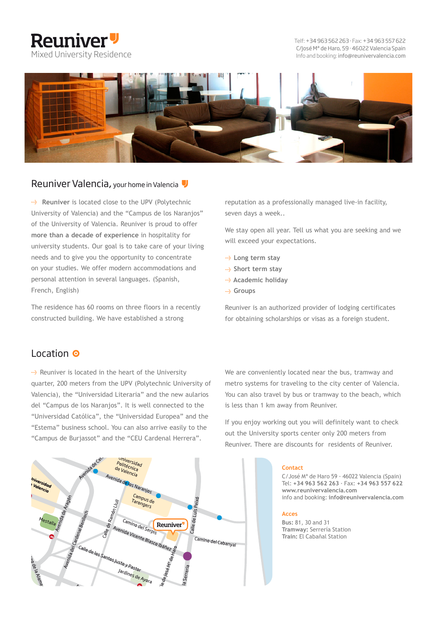# **Reuniver** Mixed University Residence

C/José Mª de Haro, 59 · 46022 Valencia Spain Telf: +34 963 562 263 · Fax: +34 963 557 622 Info and booking: info@reunivervalencia.com



#### Reuniver Valencia, your home in Valencia

**Reuniver** is located close to the UPV (Polytechnic University of Valencia) and the "Campus de los Naranjos" of the University of Valencia. Reuniver is proud to offer **more than a decade of experience** in hospitality for university students. Our goal is to take care of your living needs and to give you the opportunity to concentrate on your studies. We offer modern accommodations and personal attention in several languages. (Spanish, French, English)

The residence has 60 rooms on three floors in a recently constructed building. We have established a strong

reputation as a professionally managed live-in facility, seven days a week..

We stay open all year. Tell us what you are seeking and we will exceed your expectations.

- **--->** Long term stay
- **Short term stay**
- **Academic holiday**
- **Groups**

Reuniver is an authorized provider of lodging certificates for obtaining scholarships or visas as a foreign student.

### Location <sup>O</sup>

 $\rightarrow$  Reuniver is located in the heart of the University quarter, 200 meters from the UPV (Polytechnic University of Valencia), the "Universidad Literaria" and the new aularios del "Campus de los Naranjos". It is well connected to the "Universidad Católica", the "Universidad Europea" and the "Estema" business school. You can also arrive easily to the "Campus de Burjassot" and the "CEU Cardenal Herrera".



We are conveniently located near the bus, tramway and metro systems for traveling to the city center of Valencia. You can also travel by bus or tramway to the beach, which is less than 1 km away from Reuniver.

If you enjoy working out you will definitely want to check out the University sports center only 200 meters from Reuniver. There are discounts for residents of Reuniver.

#### **Contact**

C/José Mª de Haro 59 · 46022 Valencia (Spain) Tel: **+34 963 562 263** · Fax: **+34 963 557 622 www.reunivervalencia.com** info and booking: **info@reunivervalencia.com**

#### **Acces**

**Bus:** 81, 30 and 31 **Tramway:** Serrería Station **Train:** El Cabañal Station